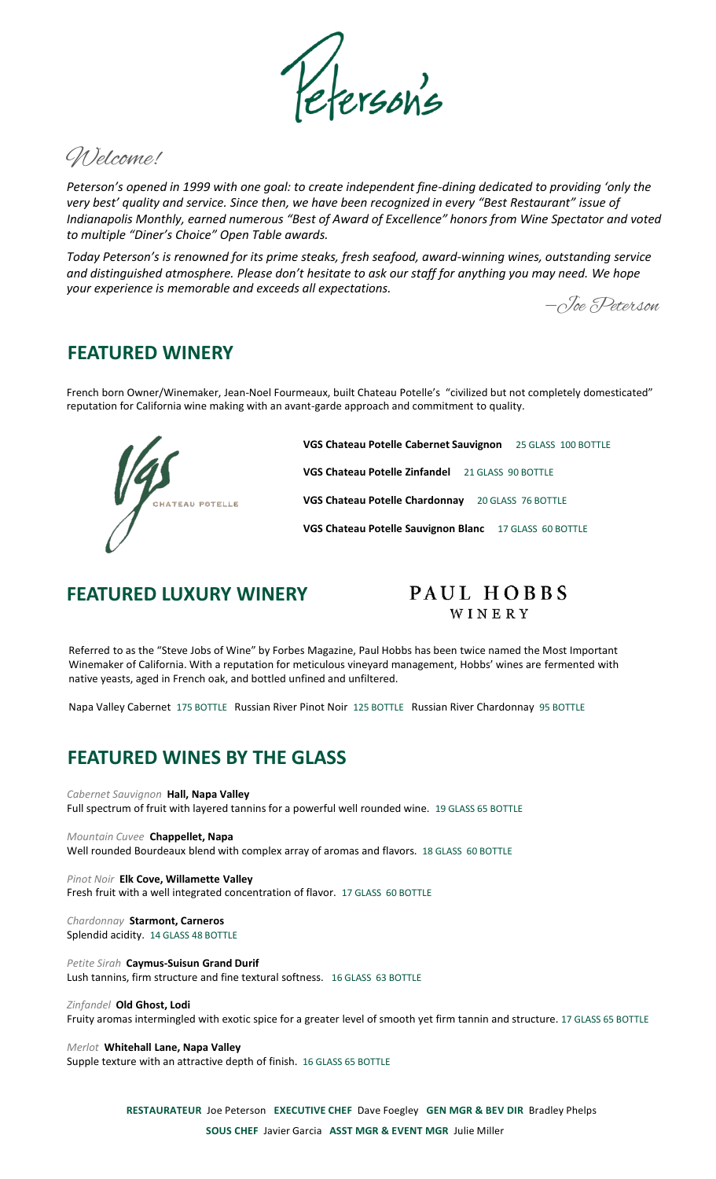Welcome!

*Peterson's opened in 1999 with one goal: to create independent fine-dining dedicated to providing 'only the very best' quality and service. Since then, we have been recognized in every "Best Restaurant" issue of Indianapolis Monthly, earned numerous "Best of Award of Excellence" honors from Wine Spectator and voted to multiple "Diner's Choice" Open Table awards.* 

*Today Peterson's is renowned for its prime steaks, fresh seafood, award-winning wines, outstanding service and distinguished atmosphere. Please don't hesitate to ask our staff for anything you may need. We hope your experience is memorable and exceeds all expectations.*

‒Joe Peterson

### **FEATURED WINERY**

French born Owner/Winemaker, Jean-Noel Fourmeaux, built Chateau Potelle's "civilized but not completely domesticated" reputation for California wine making with an avant-garde approach and commitment to quality.



**VGS Chateau Potelle Cabernet Sauvignon** 25 GLASS 100 BOTTLE **VGS Chateau Potelle Zinfandel** 21 GLASS 90 BOTTLE **VGS Chateau Potelle Chardonnay** 20 GLASS 76 BOTTLE **VGS Chateau Potelle Sauvignon Blanc** 17 GLASS 60 BOTTLE

### **FEATURED LUXURY WINERY**

### PAUL HOBBS WINERY

Referred to as the "Steve Jobs of Wine" by Forbes Magazine, Paul Hobbs has been twice named the Most Important Winemaker of California. With a reputation for meticulous vineyard management, Hobbs' wines are fermented with native yeasts, aged in French oak, and bottled unfined and unfiltered.

Napa Valley Cabernet 175 BOTTLE Russian River Pinot Noir 125 BOTTLE Russian River Chardonnay 95 BOTTLE

# **FEATURED WINES BY THE GLASS**

*Cabernet Sauvignon* **Hall, Napa Valley** Full spectrum of fruit with layered tannins for a powerful well rounded wine. 19 GLASS 65 BOTTLE

*Mountain Cuvee* **Chappellet, Napa**  Well rounded Bourdeaux blend with complex array of aromas and flavors. 18 GLASS 60 BOTTLE

*Pinot Noir* **Elk Cove, Willamette Valley** Fresh fruit with a well integrated concentration of flavor. 17 GLASS 60 BOTTLE

*Chardonnay* **Starmont, Carneros** Splendid acidity. 14 GLASS 48 BOTTLE

*Petite Sirah* **Caymus-Suisun Grand Durif**  Lush tannins, firm structure and fine textural softness. 16 GLASS 63 BOTTLE

*Zinfandel* **Old Ghost, Lodi**

Fruity aromas intermingled with exotic spice for a greater level of smooth yet firm tannin and structure. 17 GLASS 65 BOTTLE

#### *Merlot* **Whitehall Lane, Napa Valley**

Supple texture with an attractive depth of finish. 16 GLASS 65 BOTTLE

**RESTAURATEUR** Joe Peterson **EXECUTIVE CHEF** Dave Foegley **GEN MGR & BEV DIR** Bradley Phelps **SOUS CHEF** Javier Garcia **ASST MGR & EVENT MGR** Julie Miller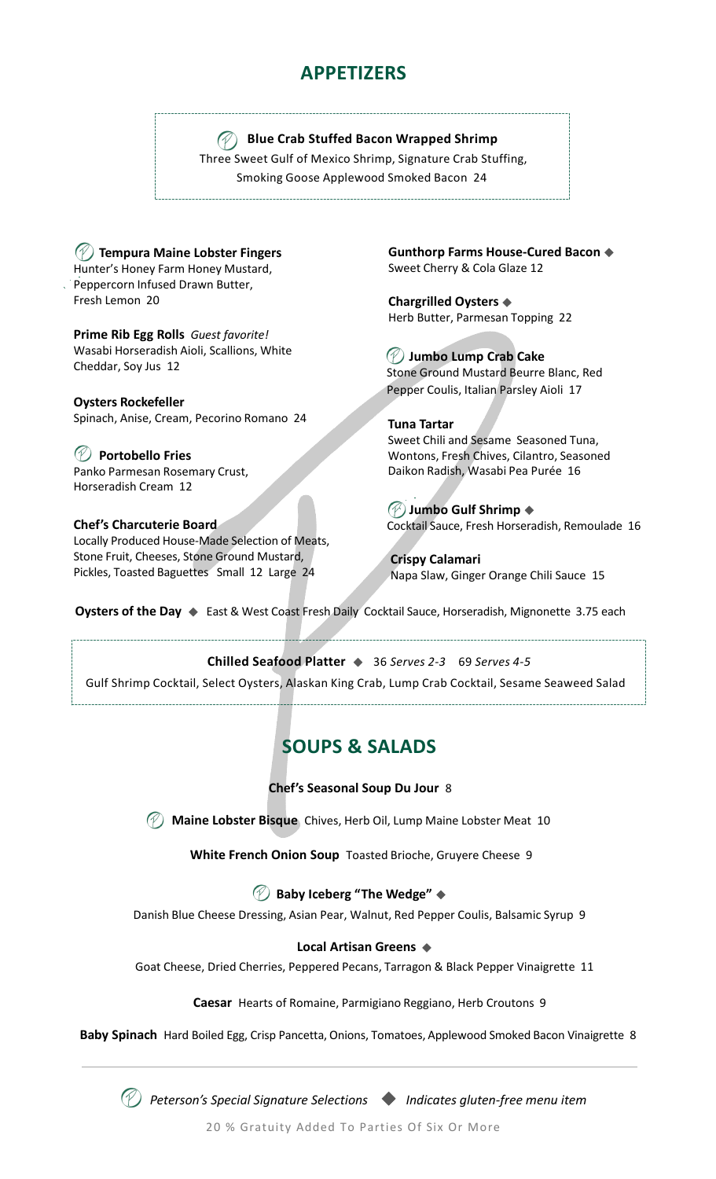# **APPETIZERS**

### **Blue Crab Stuffed Bacon Wrapped Shrimp**

Three Sweet Gulf of Mexico Shrimp, Signature Crab Stuffing, Smoking Goose Applewood Smoked Bacon 24

**Tempura Maine Lobster Fingers** Hunter's Honey Farm Honey Mustard, Peppercorn Infused Drawn Butter, Fresh Lemon 20

**Prime Rib Egg Rolls** *Guest favorite!* Wasabi Horseradish Aioli, Scallions, White Cheddar, Soy Jus 12

**Oysters Rockefeller**  Spinach, Anise, Cream, Pecorino Romano 24

**Portobello Fries**  Panko Parmesan Rosemary Crust, Horseradish Cream 12

#### **Chef's Charcuterie Board**

Locally Produced House-Made Selection of Meats, Stone Fruit, Cheeses, Stone Ground Mustard, Pickles, Toasted Baguettes Small 12 Large 24

**Gunthorp Farms House-Cured Bacon**  Sweet Cherry & Cola Glaze 12

**Chargrilled Oysters**  Herb Butter, Parmesan Topping 22

**Jumbo Lump Crab Cake** Stone Ground Mustard Beurre Blanc, Red Pepper Coulis, Italian Parsley Aioli 17

**Tuna Tartar**  Sweet Chili and Sesame Seasoned Tuna, Wontons, Fresh Chives, Cilantro, Seasoned Daikon Radish, Wasabi Pea Purée 16

**Jumbo Gulf Shrimp** Cocktail Sauce, Fresh Horseradish, Remoulade 16

**Crispy Calamari** Napa Slaw, Ginger Orange Chili Sauce 15

**Oysters of the Day ♦** East & West Coast Fresh Daily Cocktail Sauce, Horseradish, Mignonette 3.75 each

#### **Chilled Seafood Platter**  36 *Serves 2-3* 69 *Serves 4-5*

Gulf Shrimp Cocktail, Select Oysters, Alaskan King Crab, Lump Crab Cocktail, Sesame Seaweed Salad

# **SOUPS & SALADS**

**Chef's Seasonal Soup Du Jour** 8

**Maine Lobster Bisque** Chives, Herb Oil, Lump Maine Lobster Meat 10

**White French Onion Soup** Toasted Brioche, Gruyere Cheese 9

### **Baby Iceberg "The Wedge"**

Danish Blue Cheese Dressing, Asian Pear, Walnut, Red Pepper Coulis, Balsamic Syrup 9

#### **Local Artisan Greens**

Goat Cheese, Dried Cherries, Peppered Pecans, Tarragon & Black Pepper Vinaigrette 11

**Caesar** Hearts of Romaine, Parmigiano Reggiano, Herb Croutons 9

**Baby Spinach** Hard Boiled Egg, Crisp Pancetta, Onions, Tomatoes, Applewood Smoked Bacon Vinaigrette 8



*Peterson's Special Signature Selections Indicates gluten-free menu item*

20 % Gratuity Added To Parties Of Six Or More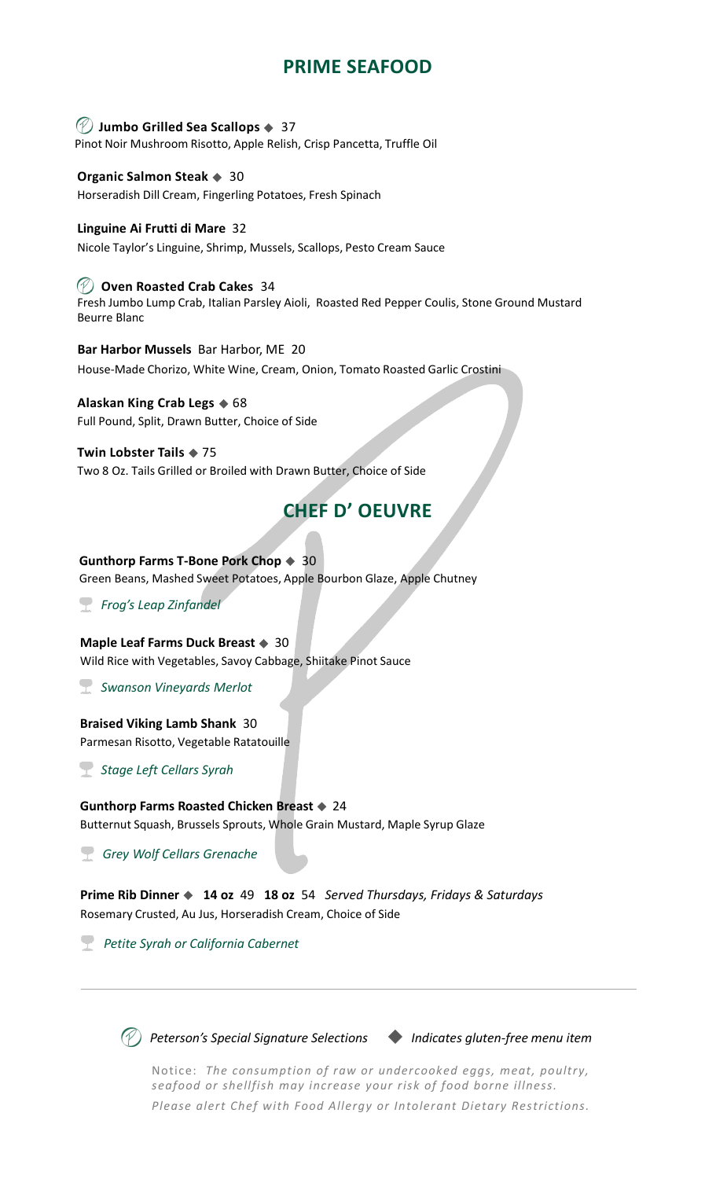# **PRIME SEAFOOD**

#### **Jumbo Grilled Sea Scallops**  37

Pinot Noir Mushroom Risotto, Apple Relish, Crisp Pancetta, Truffle Oil

#### **Organic Salmon Steak ♦ 30**

Horseradish Dill Cream, Fingerling Potatoes, Fresh Spinach

#### **Linguine Ai Frutti di Mare** 32

Nicole Taylor's Linguine, Shrimp, Mussels, Scallops, Pesto Cream Sauce

#### **Oven Roasted Crab Cakes** 34

Fresh Jumbo Lump Crab, Italian Parsley Aioli, Roasted Red Pepper Coulis, Stone Ground Mustard Beurre Blanc

**Bar Harbor Mussels** Bar Harbor, ME 20 House-Made Chorizo, White Wine, Cream, Onion, Tomato Roasted Garlic Crostini

### **Alaskan King Crab Legs**  $\triangle$  68

Full Pound, Split, Drawn Butter, Choice of Side

#### **Twin Lobster Tails ♦ 75**

Two 8 Oz. Tails Grilled or Broiled with Drawn Butter, Choice of Side

## **CHEF D' OEUVRE**

#### **Gunthorp Farms T-Bone Pork Chop**  $\triangleq 30$

Green Beans, Mashed Sweet Potatoes, Apple Bourbon Glaze, Apple Chutney

*Frog's Leap Zinfandel*

#### **Maple Leaf Farms Duck Breast**  $\triangleq 30$

Wild Rice with Vegetables, Savoy Cabbage, Shiitake Pinot Sauce

*Swanson Vineyards Merlot*

#### **Braised Viking Lamb Shank** 30

Parmesan Risotto, Vegetable Ratatouille

*Stage Left Cellars Syrah*

#### **Gunthorp Farms Roasted Chicken Breast**  $\triangle$  **24** Butternut Squash, Brussels Sprouts, Whole Grain Mustard, Maple Syrup Glaze

*Grey Wolf Cellars Grenache*

**Prime Rib Dinner 14 oz** 49 **18 oz** 54 *Served Thursdays, Fridays & Saturdays*  Rosemary Crusted, Au Jus, Horseradish Cream, Choice of Side

*Petite Syrah or California Cabernet*

*Peterson's Special Signature Selections Indicates gluten-free menu item*

Notice: *The consumption of raw or undercooked eggs, meat, poultry, seafood or shellfish may increase your risk of food borne illness. Please alert Chef with Food Allergy or Intolerant Dietary Restrictions.*